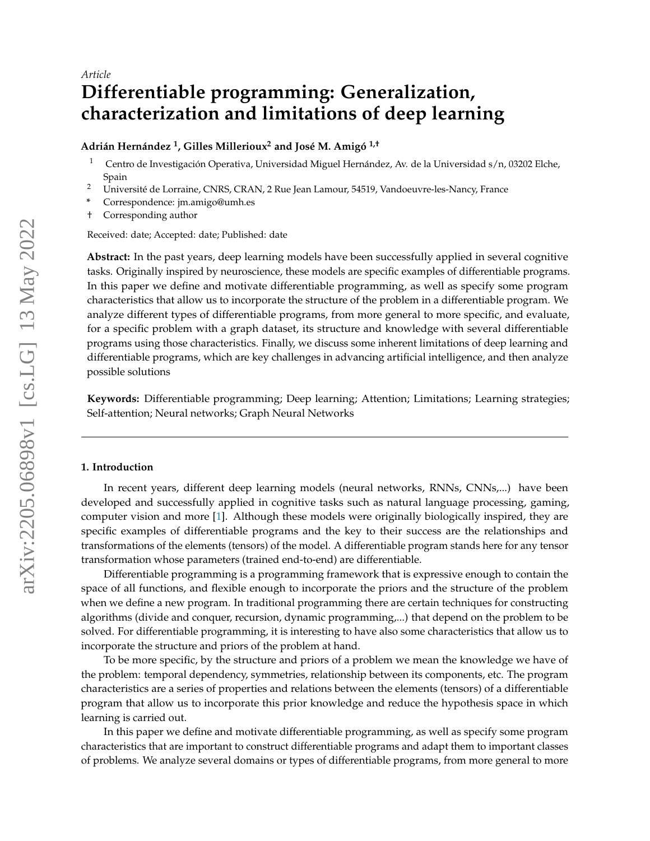# **Differentiable programming: Generalization, characterization and limitations of deep learning**

## **Adrián Hernández <sup>1</sup> , Gilles Millerioux<sup>2</sup> and José M. Amigó 1,†**

- <sup>1</sup> Centro de Investigación Operativa, Universidad Miguel Hernández, Av. de la Universidad s/n, 03202 Elche, Spain
- <sup>2</sup> Université de Lorraine, CNRS, CRAN, 2 Rue Jean Lamour, 54519, Vandoeuvre-les-Nancy, France
- **\*** Correspondence: jm.amigo@umh.es
- † Corresponding author

Received: date; Accepted: date; Published: date

**Abstract:** In the past years, deep learning models have been successfully applied in several cognitive tasks. Originally inspired by neuroscience, these models are specific examples of differentiable programs. In this paper we define and motivate differentiable programming, as well as specify some program characteristics that allow us to incorporate the structure of the problem in a differentiable program. We analyze different types of differentiable programs, from more general to more specific, and evaluate, for a specific problem with a graph dataset, its structure and knowledge with several differentiable programs using those characteristics. Finally, we discuss some inherent limitations of deep learning and differentiable programs, which are key challenges in advancing artificial intelligence, and then analyze possible solutions

**Keywords:** Differentiable programming; Deep learning; Attention; Limitations; Learning strategies; Self-attention; Neural networks; Graph Neural Networks

#### **1. Introduction**

In recent years, different deep learning models (neural networks, RNNs, CNNs,...) have been developed and successfully applied in cognitive tasks such as natural language processing, gaming, computer vision and more [\[1\]](#page-13-0). Although these models were originally biologically inspired, they are specific examples of differentiable programs and the key to their success are the relationships and transformations of the elements (tensors) of the model. A differentiable program stands here for any tensor transformation whose parameters (trained end-to-end) are differentiable.

Differentiable programming is a programming framework that is expressive enough to contain the space of all functions, and flexible enough to incorporate the priors and the structure of the problem when we define a new program. In traditional programming there are certain techniques for constructing algorithms (divide and conquer, recursion, dynamic programming,...) that depend on the problem to be solved. For differentiable programming, it is interesting to have also some characteristics that allow us to incorporate the structure and priors of the problem at hand.

To be more specific, by the structure and priors of a problem we mean the knowledge we have of the problem: temporal dependency, symmetries, relationship between its components, etc. The program characteristics are a series of properties and relations between the elements (tensors) of a differentiable program that allow us to incorporate this prior knowledge and reduce the hypothesis space in which learning is carried out.

In this paper we define and motivate differentiable programming, as well as specify some program characteristics that are important to construct differentiable programs and adapt them to important classes of problems. We analyze several domains or types of differentiable programs, from more general to more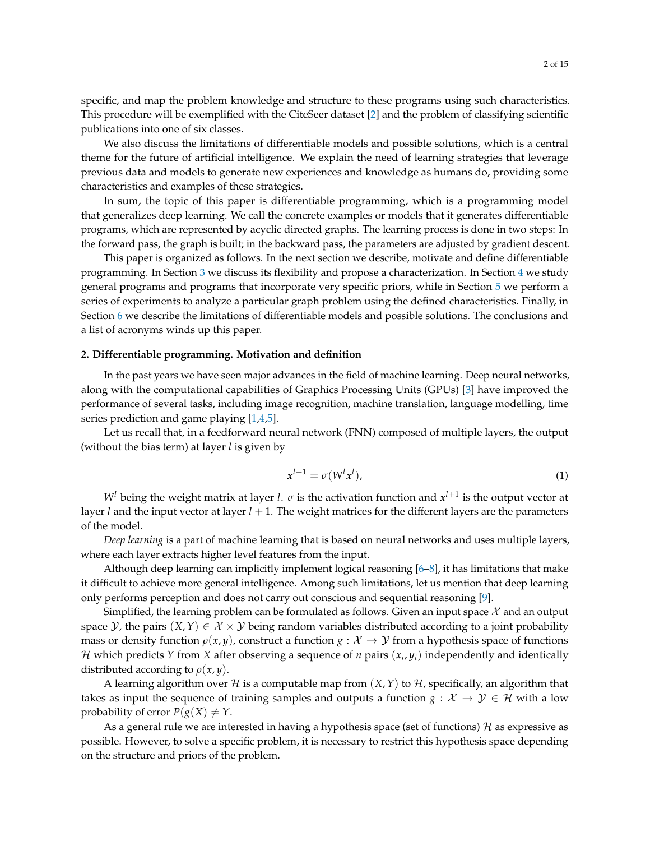specific, and map the problem knowledge and structure to these programs using such characteristics. This procedure will be exemplified with the CiteSeer dataset [\[2\]](#page-13-1) and the problem of classifying scientific publications into one of six classes.

We also discuss the limitations of differentiable models and possible solutions, which is a central theme for the future of artificial intelligence. We explain the need of learning strategies that leverage previous data and models to generate new experiences and knowledge as humans do, providing some characteristics and examples of these strategies.

In sum, the topic of this paper is differentiable programming, which is a programming model that generalizes deep learning. We call the concrete examples or models that it generates differentiable programs, which are represented by acyclic directed graphs. The learning process is done in two steps: In the forward pass, the graph is built; in the backward pass, the parameters are adjusted by gradient descent.

This paper is organized as follows. In the next section we describe, motivate and define differentiable programming. In Section [3](#page-3-0) we discuss its flexibility and propose a characterization. In Section [4](#page-6-0) we study general programs and programs that incorporate very specific priors, while in Section [5](#page-8-0) we perform a series of experiments to analyze a particular graph problem using the defined characteristics. Finally, in Section [6](#page-11-0) we describe the limitations of differentiable models and possible solutions. The conclusions and a list of acronyms winds up this paper.

## **2. Differentiable programming. Motivation and definition**

In the past years we have seen major advances in the field of machine learning. Deep neural networks, along with the computational capabilities of Graphics Processing Units (GPUs) [\[3\]](#page-13-2) have improved the performance of several tasks, including image recognition, machine translation, language modelling, time series prediction and game playing [\[1,](#page-13-0)[4](#page-13-3)[,5\]](#page-13-4).

Let us recall that, in a feedforward neural network (FNN) composed of multiple layers, the output (without the bias term) at layer *l* is given by

<span id="page-1-0"></span>
$$
x^{l+1} = \sigma(W^l x^l),\tag{1}
$$

 $W^l$  being the weight matrix at layer *l*.  $\sigma$  is the activation function and  $x^{l+1}$  is the output vector at layer *l* and the input vector at layer *l* + 1. The weight matrices for the different layers are the parameters of the model.

*Deep learning* is a part of machine learning that is based on neural networks and uses multiple layers, where each layer extracts higher level features from the input.

Although deep learning can implicitly implement logical reasoning [\[6](#page-13-5)[–8\]](#page-13-6), it has limitations that make it difficult to achieve more general intelligence. Among such limitations, let us mention that deep learning only performs perception and does not carry out conscious and sequential reasoning [\[9\]](#page-13-7).

Simplified, the learning problem can be formulated as follows. Given an input space  $\mathcal X$  and an output space  $\mathcal{Y}$ , the pairs  $(X, Y) \in \mathcal{X} \times \mathcal{Y}$  being random variables distributed according to a joint probability mass or density function  $\rho(x, y)$ , construct a function  $g: \mathcal{X} \to \mathcal{Y}$  from a hypothesis space of functions H which predicts Y from X after observing a sequence of *n* pairs  $(x_i, y_i)$  independently and identically distributed according to *ρ*(*x*, *y*).

A learning algorithm over H is a computable map from  $(X, Y)$  to  $H$ , specifically, an algorithm that takes as input the sequence of training samples and outputs a function  $g : \mathcal{X} \to \mathcal{Y} \in \mathcal{H}$  with a low probability of error  $P(g(X) \neq Y$ .

As a general rule we are interested in having a hypothesis space (set of functions)  $H$  as expressive as possible. However, to solve a specific problem, it is necessary to restrict this hypothesis space depending on the structure and priors of the problem.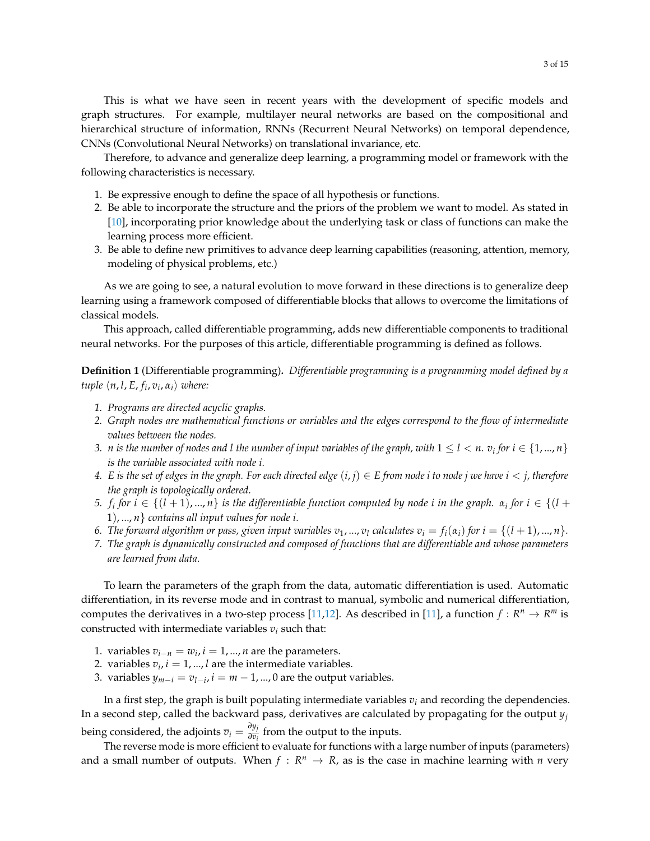This is what we have seen in recent years with the development of specific models and graph structures. For example, multilayer neural networks are based on the compositional and hierarchical structure of information, RNNs (Recurrent Neural Networks) on temporal dependence, CNNs (Convolutional Neural Networks) on translational invariance, etc.

Therefore, to advance and generalize deep learning, a programming model or framework with the following characteristics is necessary.

- 1. Be expressive enough to define the space of all hypothesis or functions.
- 2. Be able to incorporate the structure and the priors of the problem we want to model. As stated in [\[10\]](#page-13-8), incorporating prior knowledge about the underlying task or class of functions can make the learning process more efficient.
- 3. Be able to define new primitives to advance deep learning capabilities (reasoning, attention, memory, modeling of physical problems, etc.)

As we are going to see, a natural evolution to move forward in these directions is to generalize deep learning using a framework composed of differentiable blocks that allows to overcome the limitations of classical models.

This approach, called differentiable programming, adds new differentiable components to traditional neural networks. For the purposes of this article, differentiable programming is defined as follows.

<span id="page-2-0"></span>**Definition 1** (Differentiable programming)**.** *Differentiable programming is a programming model defined by a tuple*  $\langle n, l, E, f_i, v_i, \alpha_i \rangle$  *where:* 

- *1. Programs are directed acyclic graphs.*
- *2. Graph nodes are mathematical functions or variables and the edges correspond to the flow of intermediate values between the nodes.*
- *3.*  $n$  is the number of nodes and  $l$  the number of input variables of the graph, with  $1\leq l < n.$   $v_i$  for  $i\in\{1,...,n\}$ *is the variable associated with node i.*
- *4. E* is the set of edges in the graph. For each directed edge  $(i, j) \in E$  from node *i* to node *j* we have  $i < j$ , therefore *the graph is topologically ordered.*
- *f*<sub>*s*</sub> *for*  $i \in \{(l+1),...,n\}$  *is the differentiable function computed by node <i>i in the graph.*  $\alpha_i$  *for*  $i \in \{(l+1),...,n\}$ 1), ..., *n*} *contains all input values for node i.*
- 6. The forward algorithm or pass, given input variables  $v_1, ..., v_l$  calculates  $v_i = f_i(\alpha_i)$  for  $i = \{(l + 1), ..., n\}$ .
- *7. The graph is dynamically constructed and composed of functions that are differentiable and whose parameters are learned from data.*

To learn the parameters of the graph from the data, automatic differentiation is used. Automatic differentiation, in its reverse mode and in contrast to manual, symbolic and numerical differentiation, computes the derivatives in a two-step process [\[11](#page-13-9)[,12\]](#page-13-10). As described in [\[11\]](#page-13-9), a function  $f: \mathbb{R}^n \to \mathbb{R}^m$  is constructed with intermediate variables  $v_i$  such that:

- 1. variables  $v_{i-n} = w_i$ ,  $i = 1, ..., n$  are the parameters.
- 2. variables  $v_i$ ,  $i = 1, ..., l$  are the intermediate variables.
- 3. variables  $y_{m-i} = v_{l-i}$ ,  $i = m-1$ , ..., 0 are the output variables.

In a first step, the graph is built populating intermediate variables  $v_i$  and recording the dependencies. In a second step, called the backward pass, derivatives are calculated by propagating for the output *y<sup>j</sup>* being considered, the adjoints  $\overline{v}_i = \frac{\partial y_j}{\partial v_i}$ *∂v<sup>i</sup>* from the output to the inputs.

The reverse mode is more efficient to evaluate for functions with a large number of inputs (parameters) and a small number of outputs. When  $f: R^n \to R$ , as is the case in machine learning with *n* very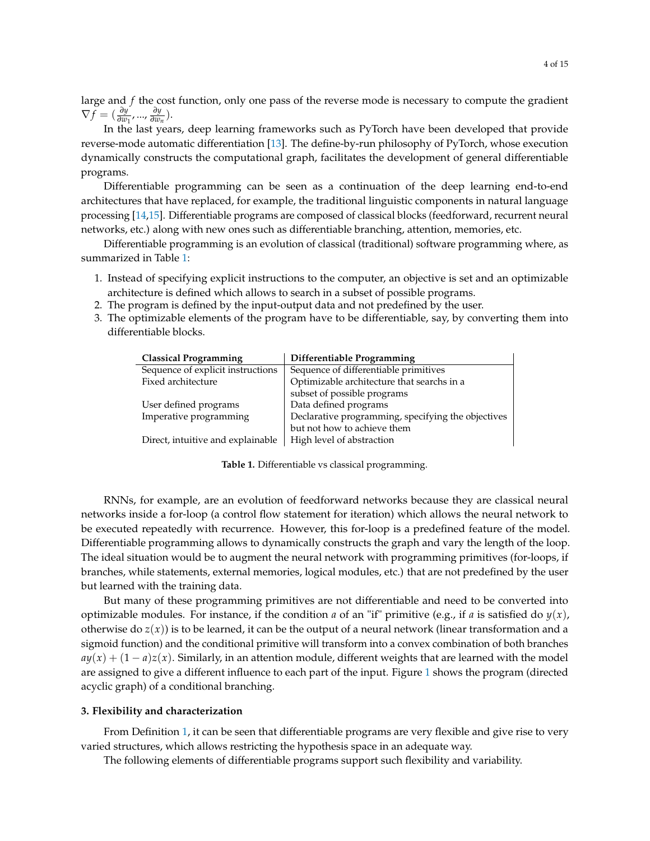large and *f* the cost function, only one pass of the reverse mode is necessary to compute the gradient  $\nabla f = (\frac{\partial y}{\partial w_1},...,\frac{\partial y}{\partial w_n})$ *∂wn* ).

In the last years, deep learning frameworks such as PyTorch have been developed that provide reverse-mode automatic differentiation [\[13\]](#page-13-11). The define-by-run philosophy of PyTorch, whose execution dynamically constructs the computational graph, facilitates the development of general differentiable programs.

Differentiable programming can be seen as a continuation of the deep learning end-to-end architectures that have replaced, for example, the traditional linguistic components in natural language processing [\[14,](#page-14-0)[15\]](#page-14-1). Differentiable programs are composed of classical blocks (feedforward, recurrent neural networks, etc.) along with new ones such as differentiable branching, attention, memories, etc.

Differentiable programming is an evolution of classical (traditional) software programming where, as summarized in Table [1:](#page-3-1)

- 1. Instead of specifying explicit instructions to the computer, an objective is set and an optimizable architecture is defined which allows to search in a subset of possible programs.
- 2. The program is defined by the input-output data and not predefined by the user.
- <span id="page-3-1"></span>3. The optimizable elements of the program have to be differentiable, say, by converting them into differentiable blocks.

| <b>Classical Programming</b>      | Differentiable Programming                         |
|-----------------------------------|----------------------------------------------------|
| Sequence of explicit instructions | Sequence of differentiable primitives              |
| Fixed architecture                | Optimizable architecture that searchs in a         |
|                                   | subset of possible programs                        |
| User defined programs             | Data defined programs                              |
| Imperative programming            | Declarative programming, specifying the objectives |
|                                   | but not how to achieve them                        |
| Direct, intuitive and explainable | High level of abstraction                          |

**Table 1.** Differentiable vs classical programming.

RNNs, for example, are an evolution of feedforward networks because they are classical neural networks inside a for-loop (a control flow statement for iteration) which allows the neural network to be executed repeatedly with recurrence. However, this for-loop is a predefined feature of the model. Differentiable programming allows to dynamically constructs the graph and vary the length of the loop. The ideal situation would be to augment the neural network with programming primitives (for-loops, if branches, while statements, external memories, logical modules, etc.) that are not predefined by the user but learned with the training data.

But many of these programming primitives are not differentiable and need to be converted into optimizable modules. For instance, if the condition *a* of an "if" primitive (e.g., if *a* is satisfied do  $y(x)$ , otherwise do  $z(x)$ ) is to be learned, it can be the output of a neural network (linear transformation and a sigmoid function) and the conditional primitive will transform into a convex combination of both branches  $a(y(x) + (1 - a)z(x)$ . Similarly, in an attention module, different weights that are learned with the model are assigned to give a different influence to each part of the input. Figure [1](#page-4-0) shows the program (directed acyclic graph) of a conditional branching.

#### <span id="page-3-0"></span>**3. Flexibility and characterization**

From Definition [1,](#page-2-0) it can be seen that differentiable programs are very flexible and give rise to very varied structures, which allows restricting the hypothesis space in an adequate way.

The following elements of differentiable programs support such flexibility and variability.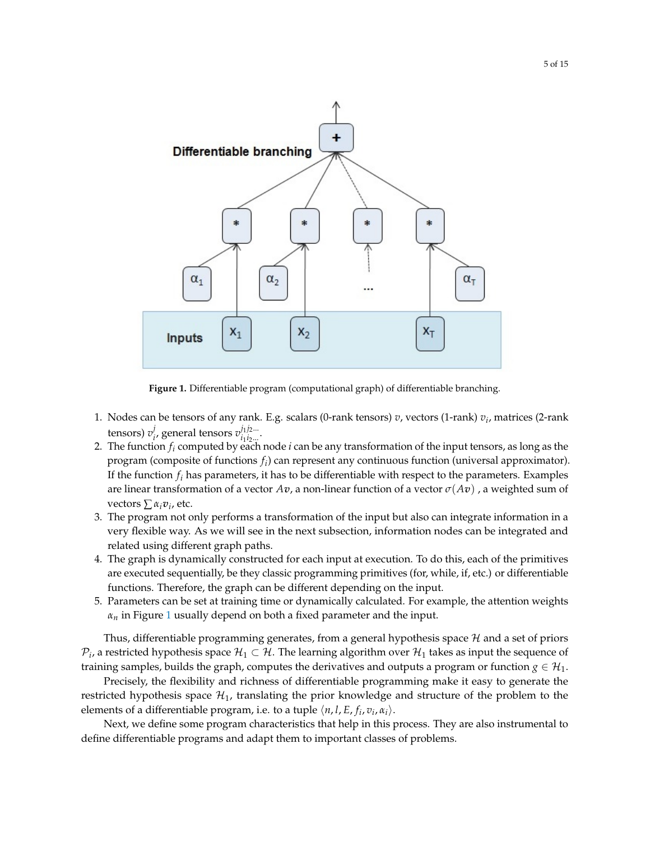<span id="page-4-0"></span>

**Figure 1.** Differentiable program (computational graph) of differentiable branching.

- 1. Nodes can be tensors of any rank. E.g. scalars (0-rank tensors) *v*, vectors (1-rank) *v<sup>i</sup>* , matrices (2-rank tensors) *v j*  $i$ , general tensors  $v^{j_1j_2...}_{i_1i_2...}$ *i*1 *i*2... .
- 2. The function *f<sup>i</sup>* computed by each node *i* can be any transformation of the input tensors, as long as the program (composite of functions *f<sup>i</sup>* ) can represent any continuous function (universal approximator). If the function  $f_i$  has parameters, it has to be differentiable with respect to the parameters. Examples are linear transformation of a vector  $Av$ , a non-linear function of a vector  $\sigma(Av)$ , a weighted sum of vectors ∑ *αiv<sup>i</sup>* , etc.
- 3. The program not only performs a transformation of the input but also can integrate information in a very flexible way. As we will see in the next subsection, information nodes can be integrated and related using different graph paths.
- 4. The graph is dynamically constructed for each input at execution. To do this, each of the primitives are executed sequentially, be they classic programming primitives (for, while, if, etc.) or differentiable functions. Therefore, the graph can be different depending on the input.
- 5. Parameters can be set at training time or dynamically calculated. For example, the attention weights *αn* in Figure [1](#page-4-0) usually depend on both a fixed parameter and the input.

Thus, differentiable programming generates, from a general hypothesis space  $\mathcal H$  and a set of priors  $\mathcal{P}_i$ , a restricted hypothesis space  $\mathcal{H}_1\subset\mathcal{H}.$  The learning algorithm over  $\mathcal{H}_1$  takes as input the sequence of training samples, builds the graph, computes the derivatives and outputs a program or function  $g \in \mathcal{H}_1$ .

Precisely, the flexibility and richness of differentiable programming make it easy to generate the restricted hypothesis space  $\mathcal{H}_1$ , translating the prior knowledge and structure of the problem to the elements of a differentiable program, i.e. to a tuple  $\langle n, l, E, f_i, v_i, \alpha_i \rangle$ .

Next, we define some program characteristics that help in this process. They are also instrumental to define differentiable programs and adapt them to important classes of problems.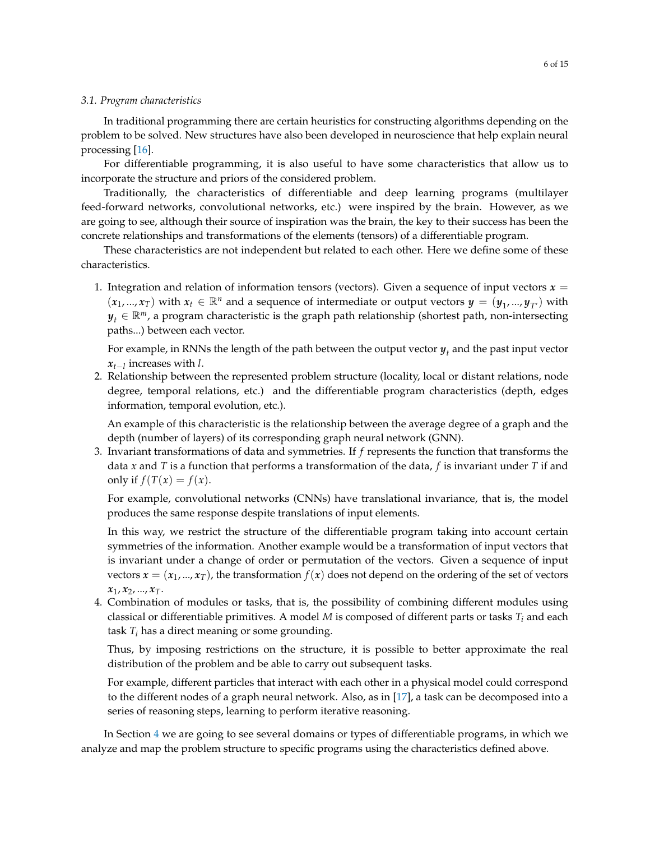## *3.1. Program characteristics*

In traditional programming there are certain heuristics for constructing algorithms depending on the problem to be solved. New structures have also been developed in neuroscience that help explain neural processing [\[16\]](#page-14-2).

For differentiable programming, it is also useful to have some characteristics that allow us to incorporate the structure and priors of the considered problem.

Traditionally, the characteristics of differentiable and deep learning programs (multilayer feed-forward networks, convolutional networks, etc.) were inspired by the brain. However, as we are going to see, although their source of inspiration was the brain, the key to their success has been the concrete relationships and transformations of the elements (tensors) of a differentiable program.

These characteristics are not independent but related to each other. Here we define some of these characteristics.

1. Integration and relation of information tensors (vectors). Given a sequence of input vectors  $x =$  $(x_1, ..., x_T)$  with  $x_t \in \mathbb{R}^n$  and a sequence of intermediate or output vectors  $y = (y_1, ..., y_{T'})$  with  $y_t \in \mathbb{R}^m$ , a program characteristic is the graph path relationship (shortest path, non-intersecting paths...) between each vector.

For example, in RNNs the length of the path between the output vector  $y_t$  and the past input vector *xt*−*<sup>l</sup>* increases with *l*.

2. Relationship between the represented problem structure (locality, local or distant relations, node degree, temporal relations, etc.) and the differentiable program characteristics (depth, edges information, temporal evolution, etc.).

An example of this characteristic is the relationship between the average degree of a graph and the depth (number of layers) of its corresponding graph neural network (GNN).

3. Invariant transformations of data and symmetries. If *f* represents the function that transforms the data *x* and *T* is a function that performs a transformation of the data, *f* is invariant under *T* if and only if  $f(T(x)) = f(x)$ .

For example, convolutional networks (CNNs) have translational invariance, that is, the model produces the same response despite translations of input elements.

In this way, we restrict the structure of the differentiable program taking into account certain symmetries of the information. Another example would be a transformation of input vectors that is invariant under a change of order or permutation of the vectors. Given a sequence of input vectors  $x = (x_1, ..., x_T)$ , the transformation  $f(x)$  does not depend on the ordering of the set of vectors *x*1, *x*2, ..., *xT*.

4. Combination of modules or tasks, that is, the possibility of combining different modules using classical or differentiable primitives. A model *M* is composed of different parts or tasks *T<sup>i</sup>* and each task  $T_i$  has a direct meaning or some grounding.

Thus, by imposing restrictions on the structure, it is possible to better approximate the real distribution of the problem and be able to carry out subsequent tasks.

For example, different particles that interact with each other in a physical model could correspond to the different nodes of a graph neural network. Also, as in [\[17\]](#page-14-3), a task can be decomposed into a series of reasoning steps, learning to perform iterative reasoning.

In Section [4](#page-6-0) we are going to see several domains or types of differentiable programs, in which we analyze and map the problem structure to specific programs using the characteristics defined above.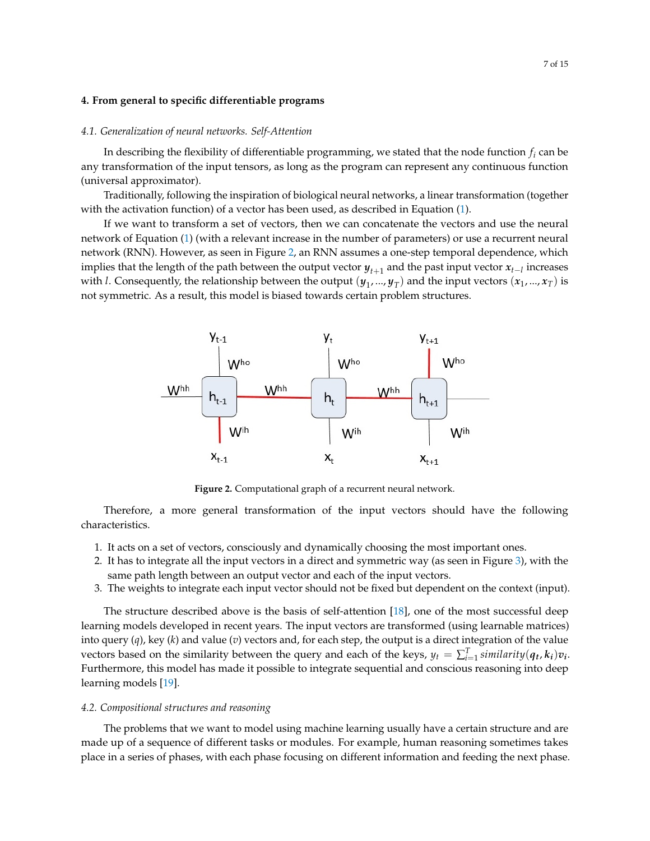#### <span id="page-6-0"></span>**4. From general to specific differentiable programs**

#### <span id="page-6-3"></span>*4.1. Generalization of neural networks. Self-Attention*

In describing the flexibility of differentiable programming, we stated that the node function *f<sup>i</sup>* can be any transformation of the input tensors, as long as the program can represent any continuous function (universal approximator).

Traditionally, following the inspiration of biological neural networks, a linear transformation (together with the activation function) of a vector has been used, as described in Equation [\(1\)](#page-1-0).

If we want to transform a set of vectors, then we can concatenate the vectors and use the neural network of Equation [\(1\)](#page-1-0) (with a relevant increase in the number of parameters) or use a recurrent neural network (RNN). However, as seen in Figure [2,](#page-6-1) an RNN assumes a one-step temporal dependence, which implies that the length of the path between the output vector  $y_{t+1}$  and the past input vector  $x_{t-l}$  increases with *l*. Consequently, the relationship between the output  $(y_1,...,y_T)$  and the input vectors  $(x_1,...,x_T)$  is not symmetric. As a result, this model is biased towards certain problem structures.

<span id="page-6-1"></span>

**Figure 2.** Computational graph of a recurrent neural network.

Therefore, a more general transformation of the input vectors should have the following characteristics.

- 1. It acts on a set of vectors, consciously and dynamically choosing the most important ones.
- 2. It has to integrate all the input vectors in a direct and symmetric way (as seen in Figure [3\)](#page-7-0), with the same path length between an output vector and each of the input vectors.
- 3. The weights to integrate each input vector should not be fixed but dependent on the context (input).

The structure described above is the basis of self-attention [\[18\]](#page-14-4), one of the most successful deep learning models developed in recent years. The input vectors are transformed (using learnable matrices) into query (*q*), key (*k*) and value (*v*) vectors and, for each step, the output is a direct integration of the value vectors based on the similarity between the query and each of the keys,  $y_t = \sum_{i=1}^{T}$  similarity $(q_t, k_i)v_i$ . Furthermore, this model has made it possible to integrate sequential and conscious reasoning into deep learning models [\[19\]](#page-14-5).

#### <span id="page-6-2"></span>*4.2. Compositional structures and reasoning*

The problems that we want to model using machine learning usually have a certain structure and are made up of a sequence of different tasks or modules. For example, human reasoning sometimes takes place in a series of phases, with each phase focusing on different information and feeding the next phase.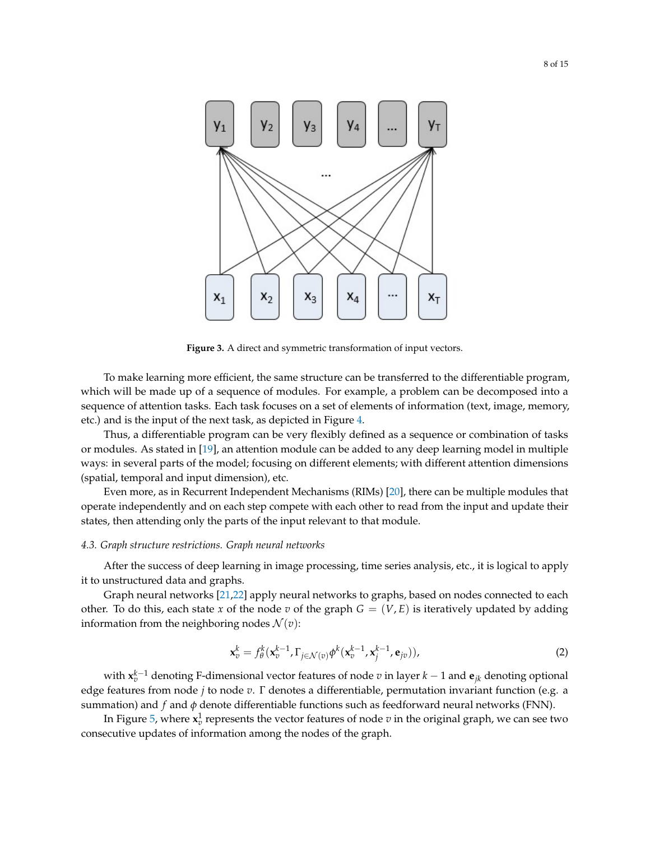<span id="page-7-0"></span>

**Figure 3.** A direct and symmetric transformation of input vectors.

To make learning more efficient, the same structure can be transferred to the differentiable program, which will be made up of a sequence of modules. For example, a problem can be decomposed into a sequence of attention tasks. Each task focuses on a set of elements of information (text, image, memory, etc.) and is the input of the next task, as depicted in Figure [4.](#page-8-1)

Thus, a differentiable program can be very flexibly defined as a sequence or combination of tasks or modules. As stated in [\[19\]](#page-14-5), an attention module can be added to any deep learning model in multiple ways: in several parts of the model; focusing on different elements; with different attention dimensions (spatial, temporal and input dimension), etc.

Even more, as in Recurrent Independent Mechanisms (RIMs) [\[20\]](#page-14-6), there can be multiple modules that operate independently and on each step compete with each other to read from the input and update their states, then attending only the parts of the input relevant to that module.

#### <span id="page-7-1"></span>*4.3. Graph structure restrictions. Graph neural networks*

After the success of deep learning in image processing, time series analysis, etc., it is logical to apply it to unstructured data and graphs.

Graph neural networks [\[21,](#page-14-7)[22\]](#page-14-8) apply neural networks to graphs, based on nodes connected to each other. To do this, each state *x* of the node *v* of the graph  $G = (V, E)$  is iteratively updated by adding information from the neighboring nodes  $\mathcal{N}(v)$ :

$$
\mathbf{x}_v^k = f_\theta^k(\mathbf{x}_v^{k-1}, \Gamma_{j \in \mathcal{N}(v)} \phi^k(\mathbf{x}_v^{k-1}, \mathbf{x}_j^{k-1}, \mathbf{e}_{jv})),
$$
\n(2)

with **x** *k*−1 *<sup>v</sup>* denoting F-dimensional vector features of node *v* in layer *k* − 1 and **e***jk* denoting optional edge features from node *j* to node *v*. Γ denotes a differentiable, permutation invariant function (e.g. a summation) and  $f$  and  $\phi$  denote differentiable functions such as feedforward neural networks (FNN).

In Figure [5,](#page-9-0) where  $\mathbf{x}_v^1$  represents the vector features of node  $v$  in the original graph, we can see two consecutive updates of information among the nodes of the graph.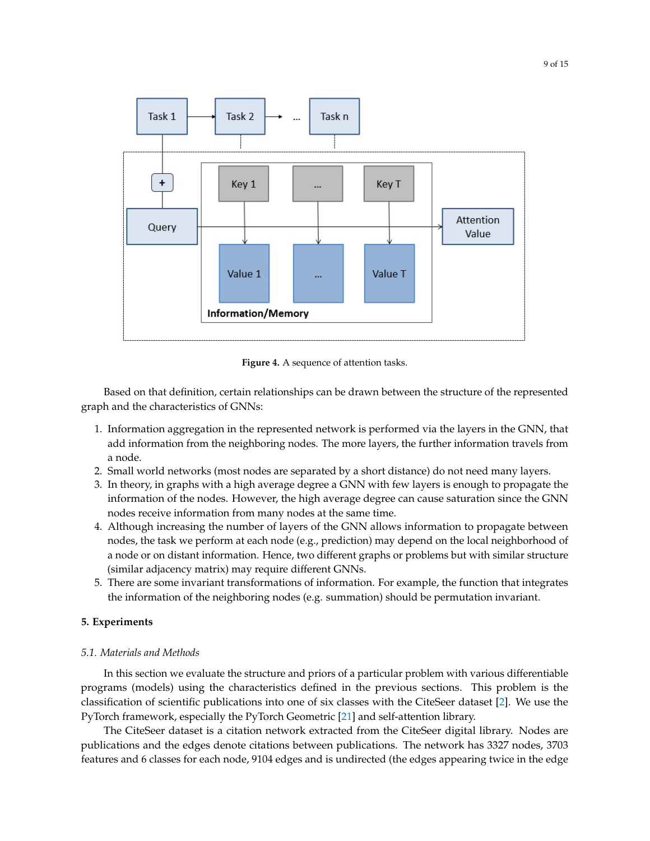<span id="page-8-1"></span>

**Figure 4.** A sequence of attention tasks.

Based on that definition, certain relationships can be drawn between the structure of the represented graph and the characteristics of GNNs:

- 1. Information aggregation in the represented network is performed via the layers in the GNN, that add information from the neighboring nodes. The more layers, the further information travels from a node.
- 2. Small world networks (most nodes are separated by a short distance) do not need many layers.
- 3. In theory, in graphs with a high average degree a GNN with few layers is enough to propagate the information of the nodes. However, the high average degree can cause saturation since the GNN nodes receive information from many nodes at the same time.
- 4. Although increasing the number of layers of the GNN allows information to propagate between nodes, the task we perform at each node (e.g., prediction) may depend on the local neighborhood of a node or on distant information. Hence, two different graphs or problems but with similar structure (similar adjacency matrix) may require different GNNs.
- 5. There are some invariant transformations of information. For example, the function that integrates the information of the neighboring nodes (e.g. summation) should be permutation invariant.

#### <span id="page-8-0"></span>**5. Experiments**

#### *5.1. Materials and Methods*

In this section we evaluate the structure and priors of a particular problem with various differentiable programs (models) using the characteristics defined in the previous sections. This problem is the classification of scientific publications into one of six classes with the CiteSeer dataset [\[2\]](#page-13-1). We use the PyTorch framework, especially the PyTorch Geometric [\[21\]](#page-14-7) and self-attention library.

The CiteSeer dataset is a citation network extracted from the CiteSeer digital library. Nodes are publications and the edges denote citations between publications. The network has 3327 nodes, 3703 features and 6 classes for each node, 9104 edges and is undirected (the edges appearing twice in the edge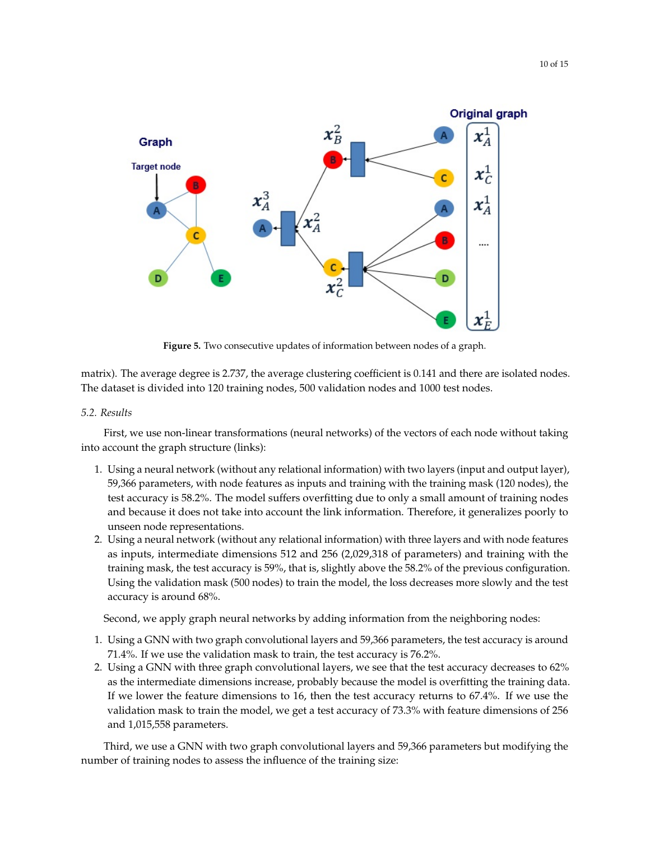<span id="page-9-0"></span>

**Figure 5.** Two consecutive updates of information between nodes of a graph.

matrix). The average degree is 2.737, the average clustering coefficient is 0.141 and there are isolated nodes. The dataset is divided into 120 training nodes, 500 validation nodes and 1000 test nodes.

## *5.2. Results*

First, we use non-linear transformations (neural networks) of the vectors of each node without taking into account the graph structure (links):

- 1. Using a neural network (without any relational information) with two layers (input and output layer), 59,366 parameters, with node features as inputs and training with the training mask (120 nodes), the test accuracy is 58.2%. The model suffers overfitting due to only a small amount of training nodes and because it does not take into account the link information. Therefore, it generalizes poorly to unseen node representations.
- 2. Using a neural network (without any relational information) with three layers and with node features as inputs, intermediate dimensions 512 and 256 (2,029,318 of parameters) and training with the training mask, the test accuracy is 59%, that is, slightly above the 58.2% of the previous configuration. Using the validation mask (500 nodes) to train the model, the loss decreases more slowly and the test accuracy is around 68%.

Second, we apply graph neural networks by adding information from the neighboring nodes:

- 1. Using a GNN with two graph convolutional layers and 59,366 parameters, the test accuracy is around 71.4%. If we use the validation mask to train, the test accuracy is 76.2%.
- 2. Using a GNN with three graph convolutional layers, we see that the test accuracy decreases to 62% as the intermediate dimensions increase, probably because the model is overfitting the training data. If we lower the feature dimensions to 16, then the test accuracy returns to 67.4%. If we use the validation mask to train the model, we get a test accuracy of 73.3% with feature dimensions of 256 and 1,015,558 parameters.

Third, we use a GNN with two graph convolutional layers and 59,366 parameters but modifying the number of training nodes to assess the influence of the training size: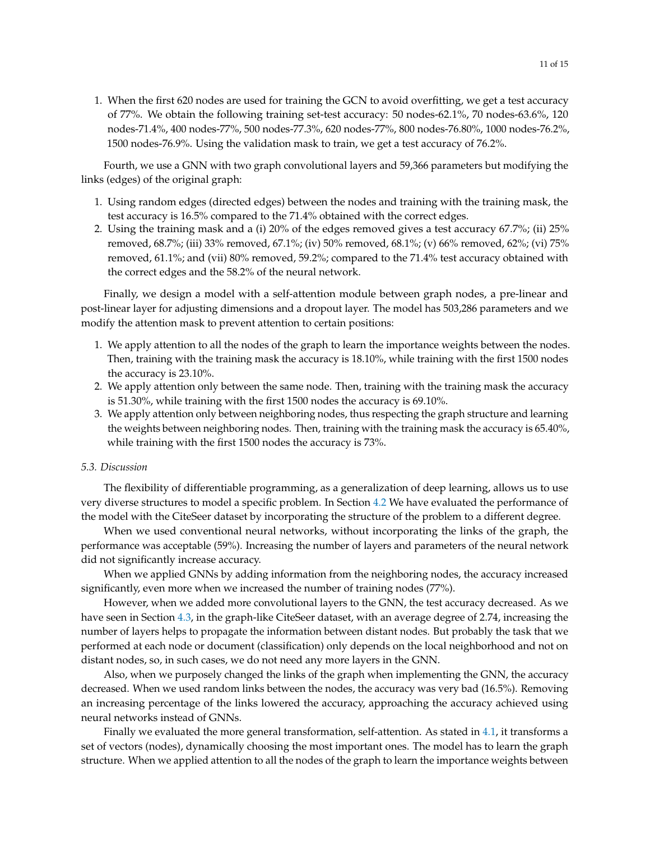1. When the first 620 nodes are used for training the GCN to avoid overfitting, we get a test accuracy of 77%. We obtain the following training set-test accuracy: 50 nodes-62.1%, 70 nodes-63.6%, 120 nodes-71.4%, 400 nodes-77%, 500 nodes-77.3%, 620 nodes-77%, 800 nodes-76.80%, 1000 nodes-76.2%, 1500 nodes-76.9%. Using the validation mask to train, we get a test accuracy of 76.2%.

Fourth, we use a GNN with two graph convolutional layers and 59,366 parameters but modifying the links (edges) of the original graph:

- 1. Using random edges (directed edges) between the nodes and training with the training mask, the test accuracy is 16.5% compared to the 71.4% obtained with the correct edges.
- 2. Using the training mask and a (i) 20% of the edges removed gives a test accuracy 67.7%; (ii) 25% removed, 68.7%; (iii) 33% removed, 67.1%; (iv) 50% removed, 68.1%; (v) 66% removed, 62%; (vi) 75% removed, 61.1%; and (vii) 80% removed, 59.2%; compared to the 71.4% test accuracy obtained with the correct edges and the 58.2% of the neural network.

Finally, we design a model with a self-attention module between graph nodes, a pre-linear and post-linear layer for adjusting dimensions and a dropout layer. The model has 503,286 parameters and we modify the attention mask to prevent attention to certain positions:

- 1. We apply attention to all the nodes of the graph to learn the importance weights between the nodes. Then, training with the training mask the accuracy is 18.10%, while training with the first 1500 nodes the accuracy is 23.10%.
- 2. We apply attention only between the same node. Then, training with the training mask the accuracy is 51.30%, while training with the first 1500 nodes the accuracy is 69.10%.
- 3. We apply attention only between neighboring nodes, thus respecting the graph structure and learning the weights between neighboring nodes. Then, training with the training mask the accuracy is 65.40%, while training with the first 1500 nodes the accuracy is 73%.

## *5.3. Discussion*

The flexibility of differentiable programming, as a generalization of deep learning, allows us to use very diverse structures to model a specific problem. In Section [4.2](#page-6-2) We have evaluated the performance of the model with the CiteSeer dataset by incorporating the structure of the problem to a different degree.

When we used conventional neural networks, without incorporating the links of the graph, the performance was acceptable (59%). Increasing the number of layers and parameters of the neural network did not significantly increase accuracy.

When we applied GNNs by adding information from the neighboring nodes, the accuracy increased significantly, even more when we increased the number of training nodes (77%).

However, when we added more convolutional layers to the GNN, the test accuracy decreased. As we have seen in Section [4.3,](#page-7-1) in the graph-like CiteSeer dataset, with an average degree of 2.74, increasing the number of layers helps to propagate the information between distant nodes. But probably the task that we performed at each node or document (classification) only depends on the local neighborhood and not on distant nodes, so, in such cases, we do not need any more layers in the GNN.

Also, when we purposely changed the links of the graph when implementing the GNN, the accuracy decreased. When we used random links between the nodes, the accuracy was very bad (16.5%). Removing an increasing percentage of the links lowered the accuracy, approaching the accuracy achieved using neural networks instead of GNNs.

Finally we evaluated the more general transformation, self-attention. As stated in [4.1,](#page-6-3) it transforms a set of vectors (nodes), dynamically choosing the most important ones. The model has to learn the graph structure. When we applied attention to all the nodes of the graph to learn the importance weights between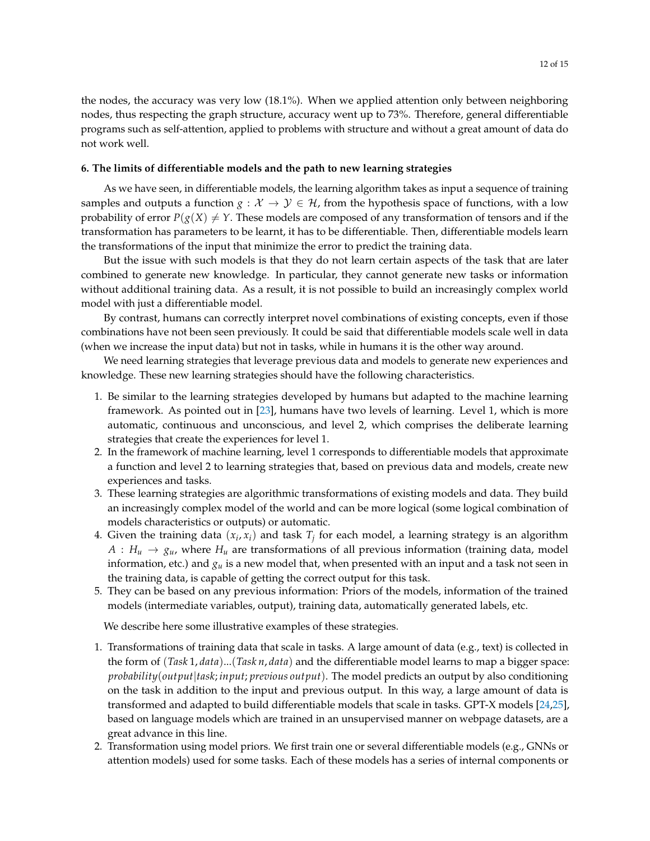the nodes, the accuracy was very low (18.1%). When we applied attention only between neighboring nodes, thus respecting the graph structure, accuracy went up to 73%. Therefore, general differentiable programs such as self-attention, applied to problems with structure and without a great amount of data do not work well.

## <span id="page-11-0"></span>**6. The limits of differentiable models and the path to new learning strategies**

As we have seen, in differentiable models, the learning algorithm takes as input a sequence of training samples and outputs a function *g* :  $X \rightarrow Y \in \mathcal{H}$ , from the hypothesis space of functions, with a low probability of error  $P(g(X) \neq Y$ . These models are composed of any transformation of tensors and if the transformation has parameters to be learnt, it has to be differentiable. Then, differentiable models learn the transformations of the input that minimize the error to predict the training data.

But the issue with such models is that they do not learn certain aspects of the task that are later combined to generate new knowledge. In particular, they cannot generate new tasks or information without additional training data. As a result, it is not possible to build an increasingly complex world model with just a differentiable model.

By contrast, humans can correctly interpret novel combinations of existing concepts, even if those combinations have not been seen previously. It could be said that differentiable models scale well in data (when we increase the input data) but not in tasks, while in humans it is the other way around.

We need learning strategies that leverage previous data and models to generate new experiences and knowledge. These new learning strategies should have the following characteristics.

- 1. Be similar to the learning strategies developed by humans but adapted to the machine learning framework. As pointed out in [\[23\]](#page-14-9), humans have two levels of learning. Level 1, which is more automatic, continuous and unconscious, and level 2, which comprises the deliberate learning strategies that create the experiences for level 1.
- 2. In the framework of machine learning, level 1 corresponds to differentiable models that approximate a function and level 2 to learning strategies that, based on previous data and models, create new experiences and tasks.
- 3. These learning strategies are algorithmic transformations of existing models and data. They build an increasingly complex model of the world and can be more logical (some logical combination of models characteristics or outputs) or automatic.
- 4. Given the training data  $(x_i, x_i)$  and task  $T_j$  for each model, a learning strategy is an algorithm  $A: H_u \to g_u$ , where  $H_u$  are transformations of all previous information (training data, model information, etc.) and *g<sup>u</sup>* is a new model that, when presented with an input and a task not seen in the training data, is capable of getting the correct output for this task.
- 5. They can be based on any previous information: Priors of the models, information of the trained models (intermediate variables, output), training data, automatically generated labels, etc.

We describe here some illustrative examples of these strategies.

- 1. Transformations of training data that scale in tasks. A large amount of data (e.g., text) is collected in the form of (*Task* 1, *data*)...(*Task n*, *data*) and the differentiable model learns to map a bigger space: *probability*(*output*|*task*; *input*; *previous output*). The model predicts an output by also conditioning on the task in addition to the input and previous output. In this way, a large amount of data is transformed and adapted to build differentiable models that scale in tasks. GPT-X models [\[24](#page-14-10)[,25\]](#page-14-11), based on language models which are trained in an unsupervised manner on webpage datasets, are a great advance in this line.
- 2. Transformation using model priors. We first train one or several differentiable models (e.g., GNNs or attention models) used for some tasks. Each of these models has a series of internal components or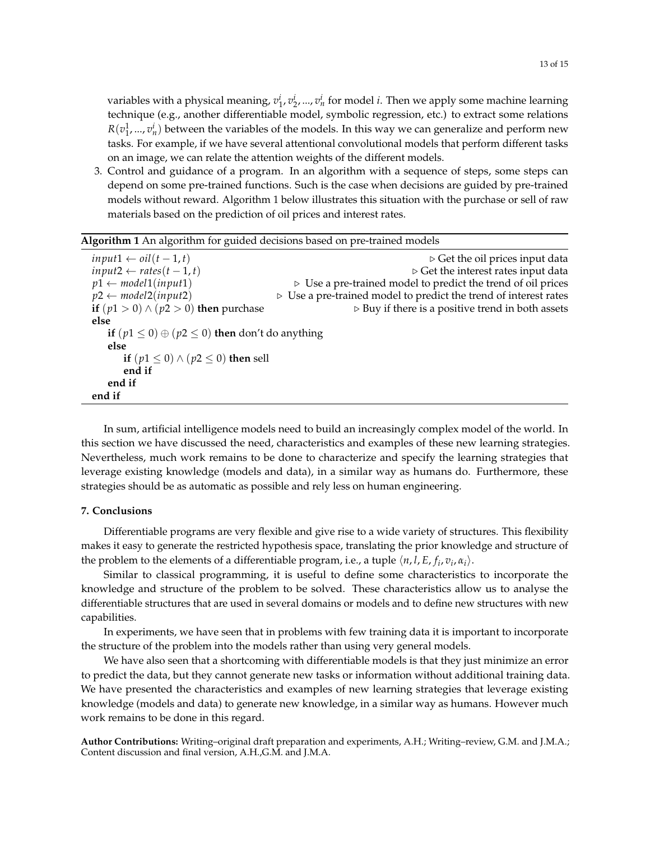variables with a physical meaning,  $v_1^i$ ,  $v_2^i$ , ...,  $v_n^i$  for model *i*. Then we apply some machine learning technique (e.g., another differentiable model, symbolic regression, etc.) to extract some relations  $R(v_1^1, ..., v_n^i)$  between the variables of the models. In this way we can generalize and perform new tasks. For example, if we have several attentional convolutional models that perform different tasks on an image, we can relate the attention weights of the different models.

3. Control and guidance of a program. In an algorithm with a sequence of steps, some steps can depend on some pre-trained functions. Such is the case when decisions are guided by pre-trained models without reward. Algorithm 1 below illustrates this situation with the purchase or sell of raw materials based on the prediction of oil prices and interest rates.

| Algorithm 1 An algorithm for guided decisions based on pre-trained models |                                                                                 |
|---------------------------------------------------------------------------|---------------------------------------------------------------------------------|
| $input1 \leftarrow oil(t-1,t)$                                            | $\triangleright$ Get the oil prices input data                                  |
| input2 $\leftarrow$ rates $(t-1, t)$                                      | $\triangleright$ Get the interest rates input data                              |
| $p1 \leftarrow model1(input1)$                                            | $\triangleright$ Use a pre-trained model to predict the trend of oil prices     |
| $p2 \leftarrow model2(input2)$                                            | $\triangleright$ Use a pre-trained model to predict the trend of interest rates |
| if $(p1 > 0) \wedge (p2 > 0)$ then purchase                               | $\triangleright$ Buy if there is a positive trend in both assets                |
| else                                                                      |                                                                                 |
| if $(p1 \le 0) \oplus (p2 \le 0)$ then don't do anything                  |                                                                                 |
| else                                                                      |                                                                                 |
| if $(p1 \le 0) \wedge (p2 \le 0)$ then sell                               |                                                                                 |
| end if                                                                    |                                                                                 |
| end if                                                                    |                                                                                 |
| end if                                                                    |                                                                                 |

In sum, artificial intelligence models need to build an increasingly complex model of the world. In this section we have discussed the need, characteristics and examples of these new learning strategies. Nevertheless, much work remains to be done to characterize and specify the learning strategies that leverage existing knowledge (models and data), in a similar way as humans do. Furthermore, these strategies should be as automatic as possible and rely less on human engineering.

## **7. Conclusions**

Differentiable programs are very flexible and give rise to a wide variety of structures. This flexibility makes it easy to generate the restricted hypothesis space, translating the prior knowledge and structure of the problem to the elements of a differentiable program, i.e., a tuple  $\langle n, l, E, f_i, v_i, \alpha_i \rangle$ .

Similar to classical programming, it is useful to define some characteristics to incorporate the knowledge and structure of the problem to be solved. These characteristics allow us to analyse the differentiable structures that are used in several domains or models and to define new structures with new capabilities.

In experiments, we have seen that in problems with few training data it is important to incorporate the structure of the problem into the models rather than using very general models.

We have also seen that a shortcoming with differentiable models is that they just minimize an error to predict the data, but they cannot generate new tasks or information without additional training data. We have presented the characteristics and examples of new learning strategies that leverage existing knowledge (models and data) to generate new knowledge, in a similar way as humans. However much work remains to be done in this regard.

**Author Contributions:** Writing–original draft preparation and experiments, A.H.; Writing–review, G.M. and J.M.A.; Content discussion and final version, A.H.,G.M. and J.M.A.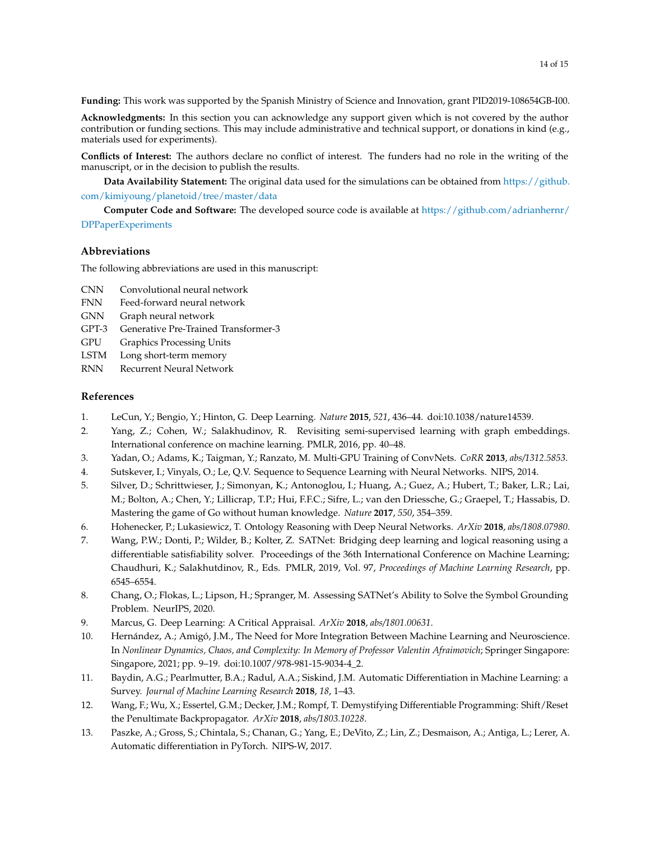**Funding:** This work was supported by the Spanish Ministry of Science and Innovation, grant PID2019-108654GB-I00.

**Acknowledgments:** In this section you can acknowledge any support given which is not covered by the author contribution or funding sections. This may include administrative and technical support, or donations in kind (e.g., materials used for experiments).

**Conflicts of Interest:** The authors declare no conflict of interest. The funders had no role in the writing of the manuscript, or in the decision to publish the results.

**Data Availability Statement:** The original data used for the simulations can be obtained from [https://github.](https://github.com/kimiyoung/planetoid/tree/master/data) [com/kimiyoung/planetoid/tree/master/data](https://github.com/kimiyoung/planetoid/tree/master/data)

**Computer Code and Software:** The developed source code is available at [https://github.com/adrianhernr/](https://github.com/adrianhernr/DPPaperExperiments) [DPPaperExperiments](https://github.com/adrianhernr/DPPaperExperiments)

#### **Abbreviations**

The following abbreviations are used in this manuscript:

- CNN Convolutional neural network
- FNN Feed-forward neural network
- GNN Graph neural network
- GPT-3 Generative Pre-Trained Transformer-3
- GPU Graphics Processing Units
- LSTM Long short-term memory
- RNN Recurrent Neural Network

## **References**

- <span id="page-13-0"></span>1. LeCun, Y.; Bengio, Y.; Hinton, G. Deep Learning. *Nature* **2015**, *521*, 436–44. doi[:10.1038/nature14539.](https://doi.org/10.1038/nature14539)
- <span id="page-13-1"></span>2. Yang, Z.; Cohen, W.; Salakhudinov, R. Revisiting semi-supervised learning with graph embeddings. International conference on machine learning. PMLR, 2016, pp. 40–48.
- <span id="page-13-2"></span>3. Yadan, O.; Adams, K.; Taigman, Y.; Ranzato, M. Multi-GPU Training of ConvNets. *CoRR* **2013**, *abs/1312.5853*.
- <span id="page-13-3"></span>4. Sutskever, I.; Vinyals, O.; Le, Q.V. Sequence to Sequence Learning with Neural Networks. NIPS, 2014.
- <span id="page-13-4"></span>5. Silver, D.; Schrittwieser, J.; Simonyan, K.; Antonoglou, I.; Huang, A.; Guez, A.; Hubert, T.; Baker, L.R.; Lai, M.; Bolton, A.; Chen, Y.; Lillicrap, T.P.; Hui, F.F.C.; Sifre, L.; van den Driessche, G.; Graepel, T.; Hassabis, D. Mastering the game of Go without human knowledge. *Nature* **2017**, *550*, 354–359.
- <span id="page-13-5"></span>6. Hohenecker, P.; Lukasiewicz, T. Ontology Reasoning with Deep Neural Networks. *ArXiv* **2018**, *abs/1808.07980*.
- 7. Wang, P.W.; Donti, P.; Wilder, B.; Kolter, Z. SATNet: Bridging deep learning and logical reasoning using a differentiable satisfiability solver. Proceedings of the 36th International Conference on Machine Learning; Chaudhuri, K.; Salakhutdinov, R., Eds. PMLR, 2019, Vol. 97, *Proceedings of Machine Learning Research*, pp. 6545–6554.
- <span id="page-13-6"></span>8. Chang, O.; Flokas, L.; Lipson, H.; Spranger, M. Assessing SATNet's Ability to Solve the Symbol Grounding Problem. NeurIPS, 2020.
- <span id="page-13-7"></span>9. Marcus, G. Deep Learning: A Critical Appraisal. *ArXiv* **2018**, *abs/1801.00631*.
- <span id="page-13-8"></span>10. Hernández, A.; Amigó, J.M., The Need for More Integration Between Machine Learning and Neuroscience. In *Nonlinear Dynamics, Chaos, and Complexity: In Memory of Professor Valentin Afraimovich*; Springer Singapore: Singapore, 2021; pp. 9–19. doi[:10.1007/978-981-15-9034-4\\_2.](https://doi.org/10.1007/978-981-15-9034-4_2)
- <span id="page-13-9"></span>11. Baydin, A.G.; Pearlmutter, B.A.; Radul, A.A.; Siskind, J.M. Automatic Differentiation in Machine Learning: a Survey. *Journal of Machine Learning Research* **2018**, *18*, 1–43.
- <span id="page-13-10"></span>12. Wang, F.; Wu, X.; Essertel, G.M.; Decker, J.M.; Rompf, T. Demystifying Differentiable Programming: Shift/Reset the Penultimate Backpropagator. *ArXiv* **2018**, *abs/1803.10228*.
- <span id="page-13-11"></span>13. Paszke, A.; Gross, S.; Chintala, S.; Chanan, G.; Yang, E.; DeVito, Z.; Lin, Z.; Desmaison, A.; Antiga, L.; Lerer, A. Automatic differentiation in PyTorch. NIPS-W, 2017.